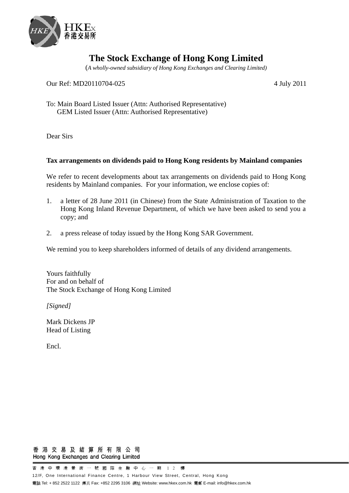

## **The Stock Exchange of Hong Kong Limited**

(*A wholly-owned subsidiary of Hong Kong Exchanges and Clearing Limited)*

Our Ref: MD20110704-025 4 July 2011

To: Main Board Listed Issuer (Attn: Authorised Representative) GEM Listed Issuer (Attn: Authorised Representative)

Dear Sirs

## **Tax arrangements on dividends paid to Hong Kong residents by Mainland companies**

We refer to recent developments about tax arrangements on dividends paid to Hong Kong residents by Mainland companies. For your information, we enclose copies of:

- 1. a letter of 28 June 2011 (in Chinese) from the State Administration of Taxation to the Hong Kong Inland Revenue Department, of which we have been asked to send you a copy; and
- 2. a press release of today issued by the Hong Kong SAR Government.

We remind you to keep shareholders informed of details of any dividend arrangements.

Yours faithfully For and on behalf of The Stock Exchange of Hong Kong Limited

*[Signed]* 

Mark Dickens JP Head of Listing

Encl.

## 香港交易及結算所有限公司 Hong Kong Exchanges and Clearing Limited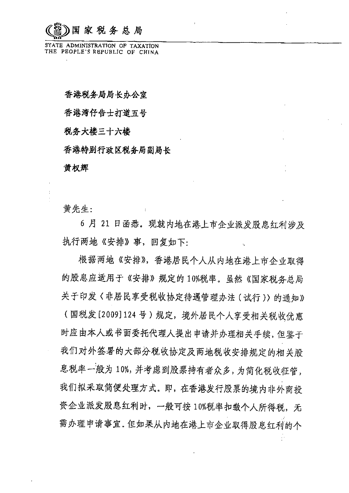家税务总局

STATE ADMINISTRATION OF TAXATION THE PEOPLE'S REPUBLIC OF CHINA

香港税各局局长办公室

香港湾仔告士打道五号

税务大楼三十六楼

香港特别行政区税务局副局长

黄权辉

黄先生:

6月 21 日函悉。现就内地在港上市企业派发股息红利涉及 执行两地《安排》事,回复如下:

根据两地《安排》,香港居民个人从内地在港上市企业取得 的股息应适用于《安排》规定的10%税率。虽然《国家税务总局 关于印发〈非居民享受税收协定待遇管理办法(试行))的通知》 (国税发[2009]124号)规定,境外居民个人享受相关税收优惠 时应由本人或书面委托代理人提出申请并办理相关手续,但鉴于 我们对外签署的大部分税收协定及两地税收安排规定的相关股 息税率一般为10%,并考虑到股票持有者众多,为简化税收征管, 我们拟采取简便处理方式。即,在香港发行股票的境内非外商投 资企业派发股息红利时,一般可按10%税率扣缴个人所得税,无 需办理申请事宜。但如果从内地在港上市企业取得股息红利的个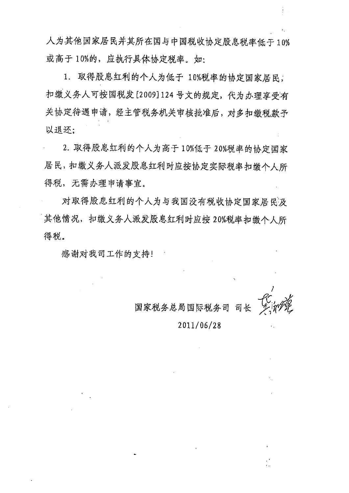人为其他国家居民并其所在国与中国税收协定股息税率低于10% 或高于10%的,应执行具体协定税率。如:

1. 取得股息红利的个人为低于 10%税率的协定国家居民, 扣缴义务人可按国税发[2009]124号文的规定,代为办理享受有 关协定待遇申请,经主管税务机关审核批准后,对多扣缴税款予 以退还;

2. 取得股息红利的个人为高于10%低于20%税率的协定国家 居民,扣缴义务人派发股息红利时应按协定实际税率扣缴个人所 得税,无需办理申请事宜。

对取得股息红利的个人为与我国没有税收协定国家居民及 其他情况, 扣缴义务人派发股息红利时应按 20%税率扣缴个人所 得税。

感谢对我司工作的支持!

司长

2011/06/28

国家税务总局国际税务司